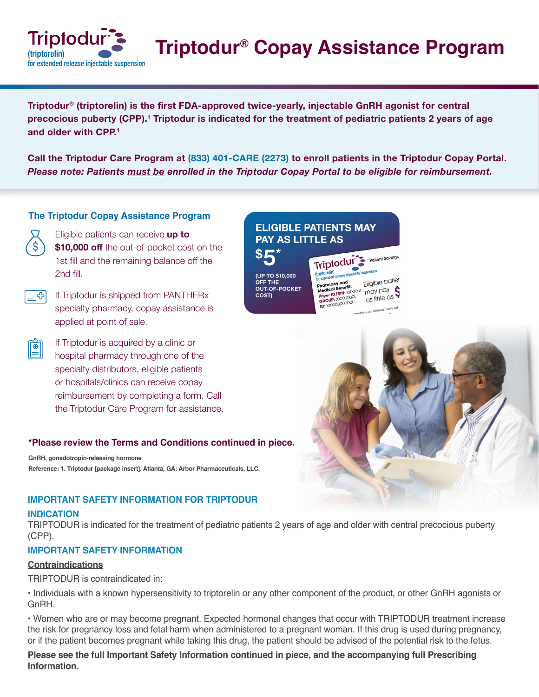

**Triptodur® Copay Assistance Program**

**Triptodur® (triptorelin) is the first FDA-approved twice-yearly, injectable GnRH agonist for central precocious puberty (CPP).<sup>1</sup> Triptodur is indicated for the treatment of pediatric patients 2 years of age and older with CPP.<sup>1</sup>**

**Call the Triptodur Care Program at (833) 401-CARE (2273) to enroll patients in the Triptodur Copay Portal.**  *Please note: Patients must be enrolled in the Triptodur Copay Portal to be eligible for reimbursement.*

## **The Triptodur Copay Assistance Program**

- Eligible patients can receive **up to \$10,000 off** the out-of-pocket cost on the 1st fill and the remaining balance off the 2nd fill.
- If Triptodur is shipped from PANTHERx GI. specialty pharmacy, copay assistance is applied at point of sale.
	- If Triptodur is acquired by a clinic or hospital pharmacy through one of the specialty distributors, eligible patients or hospitals/clinics can receive copay reimbursement by completing a form. Call the Triptodur Care Program for assistance.

## **\*Please review the Terms and Conditions continued in piece.**

**GnRH, gonadotropin-releasing hormone Reference: 1. Triptodur [package insert]. Atlanta, GA: Arbor Pharmaceuticals, LLC.**

## **IMPORTANT SAFETY INFORMATION FOR TRIPTODUR**

### **INDICATION**

Ë

TRIPTODUR is indicated for the treatment of pediatric patients 2 years of age and older with central precocious puberty (CPP).

## **IMPORTANT SAFETY INFORMATION**

## **Contraindications**

TRIPTODUR is contraindicated in:

• Individuals with a known hypersensitivity to triptorelin or any other component of the product, or other GnRH agonists or GnRH.

• Women who are or may become pregnant. Expected hormonal changes that occur with TRIPTODUR treatment increase the risk for pregnancy loss and fetal harm when administered to a pregnant woman. If this drug is used during pregnancy, or if the patient becomes pregnant while taking this drug, the patient should be advised of the potential risk to the fetus.

**Please see the full Important Safety Information continued in piece, and the accompanying full Prescribing Information.**

# **ELIGIBLE PATIENTS MAY PAY AS LITTLE AS**

Triptodur (triptorelin) (UP TO \$10,000 The contract determined and the contract of the contract of the contract of the contract of the contract of the contract of the contract of the contract of the contract of the contract of the contract of the contract of th wtended **OFF THE OUT-OF-POCKET COST)** 

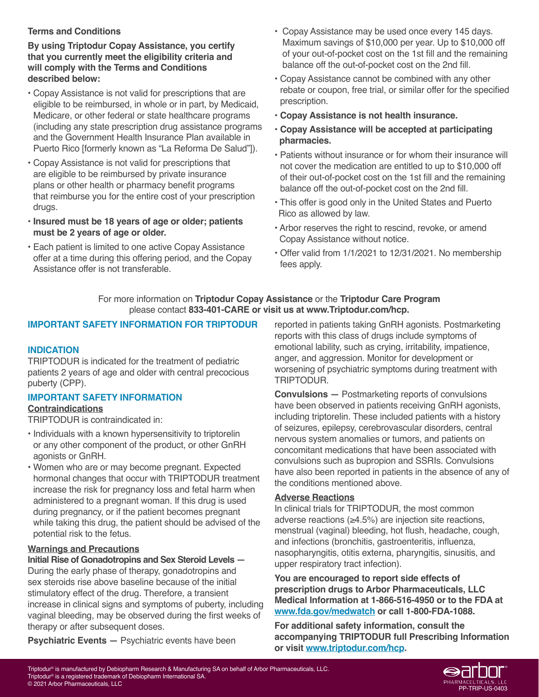# **Terms and Conditions**

**By using Triptodur Copay Assistance, you certify that you currently meet the eligibility criteria and will comply with the Terms and Conditions described below:**

- **•** Copay Assistance is not valid for prescriptions that are eligible to be reimbursed, in whole or in part, by Medicaid, Medicare, or other federal or state healthcare programs (including any state prescription drug assistance programs and the Government Health Insurance Plan available in Puerto Rico [formerly known as "La Reforma De Salud"]).
- **•** Copay Assistance is not valid for prescriptions that are eligible to be reimbursed by private insurance plans or other health or pharmacy benefit programs that reimburse you for the entire cost of your prescription drugs.
- **• Insured must be 18 years of age or older; patients must be 2 years of age or older.**
- **•** Each patient is limited to one active Copay Assistance offer at a time during this offering period, and the Copay Assistance offer is not transferable.
- Copay Assistance may be used once every 145 days. Maximum savings of \$10,000 per year. Up to \$10,000 off of your out-of-pocket cost on the 1st fill and the remaining balance off the out-of-pocket cost on the 2nd fill.
- **•** Copay Assistance cannot be combined with any other rebate or coupon, free trial, or similar offer for the specified prescription.
- **• Copay Assistance is not health insurance.**
- **• Copay Assistance will be accepted at participating pharmacies.**
- **•** Patients without insurance or for whom their insurance will not cover the medication are entitled to up to \$10,000 off of their out-of-pocket cost on the 1st fill and the remaining balance off the out-of-pocket cost on the 2nd fill.
- This offer is good only in the United States and Puerto Rico as allowed by law.
- **•** Arbor reserves the right to rescind, revoke, or amend Copay Assistance without notice.
- **•** Offer valid from 1/1/2021 to 12/31/2021. No membership fees apply.

# For more information on **Triptodur Copay Assistance** or the **Triptodur Care Program** please contact **833-401-CARE or visit us at www.Triptodur.com/hcp.**

# **IMPORTANT SAFETY INFORMATION FOR TRIPTODUR**

# **INDICATION**

TRIPTODUR is indicated for the treatment of pediatric patients 2 years of age and older with central precocious puberty (CPP).

# **IMPORTANT SAFETY INFORMATION**

## **Contraindications**

TRIPTODUR is contraindicated in:

- Individuals with a known hypersensitivity to triptorelin or any other component of the product, or other GnRH agonists or GnRH.
- Women who are or may become pregnant. Expected hormonal changes that occur with TRIPTODUR treatment increase the risk for pregnancy loss and fetal harm when administered to a pregnant woman. If this drug is used during pregnancy, or if the patient becomes pregnant while taking this drug, the patient should be advised of the potential risk to the fetus.

# **Warnings and Precautions**

## **Initial Rise of Gonadotropins and Sex Steroid Levels —**

During the early phase of therapy, gonadotropins and sex steroids rise above baseline because of the initial stimulatory effect of the drug. Therefore, a transient increase in clinical signs and symptoms of puberty, including vaginal bleeding, may be observed during the first weeks of therapy or after subsequent doses.

**Psychiatric Events —** Psychiatric events have been

reported in patients taking GnRH agonists. Postmarketing reports with this class of drugs include symptoms of emotional lability, such as crying, irritability, impatience, anger, and aggression. Monitor for development or worsening of psychiatric symptoms during treatment with TRIPTODUR.

**Convulsions —** Postmarketing reports of convulsions have been observed in patients receiving GnRH agonists, including triptorelin. These included patients with a history of seizures, epilepsy, cerebrovascular disorders, central nervous system anomalies or tumors, and patients on concomitant medications that have been associated with convulsions such as bupropion and SSRIs. Convulsions have also been reported in patients in the absence of any of the conditions mentioned above.

# **Adverse Reactions**

In clinical trials for TRIPTODUR, the most common adverse reactions (≥4.5%) are injection site reactions, menstrual (vaginal) bleeding, hot flush, headache, cough, and infections (bronchitis, gastroenteritis, influenza, nasopharyngitis, otitis externa, pharyngitis, sinusitis, and upper respiratory tract infection).

**You are encouraged to report side effects of prescription drugs to Arbor Pharmaceuticals, LLC Medical Information at 1-866-516-4950 or to the FDA at www.fda.gov/medwatch or call 1-800-FDA-1088.**

**For additional safety information, consult the accompanying TRIPTODUR full Prescribing Information or visit www.triptodur.com/hcp.**